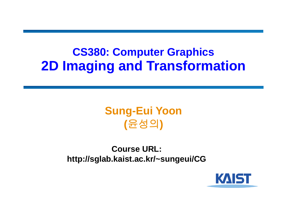#### **CS380: Computer Graphics 2D Imaging and Transformation**

#### **Sung-Eui Yoon (**윤성의 **)**

**Course URL: http://sglab.kaist.ac.kr/~sungeui/CG**

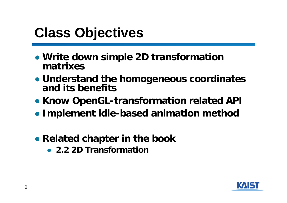## **Class Objectives**

- **Write down simple 2D transformation matrixes**
- **Understand the homogeneous coordinates and its benefits**
- **Know OpenGL-transformation related API**
- **Implement idle-based animation method**
- **Related chapter in the book**
	- **2.2 2D Transformation**

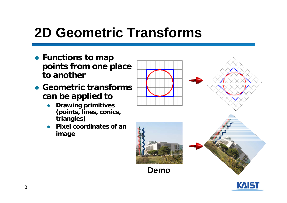# **2D Geometric Transforms**

- **Functions to map points from one place to another**
- **Geometric transforms can be applied to**
	- ● **Drawing primitives (points, lines, conics, triangles)**
	- ● **Pixel coordinates of an image**



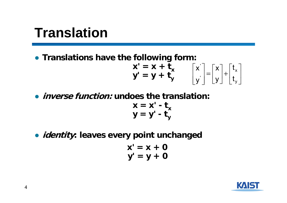#### **Translation**

● **Translations have the following form:** 

$$
\mathbf{x'} = \mathbf{x} + \mathbf{t}_{\mathbf{x}} \qquad \begin{bmatrix} x' \\ y' \end{bmatrix} = \begin{bmatrix} x \\ y \end{bmatrix} + \begin{bmatrix} t_{\mathbf{x}} \\ t_{\mathbf{y}} \end{bmatrix}
$$

- **inverse function: undoes the translation:**  $x = x' - t_x$ **y = y' - ty**
- **identity: leaves every point unchanged**

$$
x' = x + 0
$$
  

$$
y' = y + 0
$$

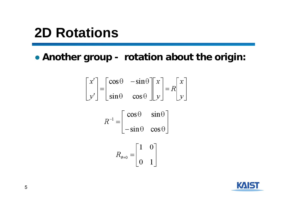## **2D Rotations**

● **Another group - rotation about the origin:**

$$
x' = \begin{bmatrix} \cos \theta & -\sin \theta \\ \sin \theta & \cos \theta \end{bmatrix} \begin{bmatrix} x \\ y \end{bmatrix} = R \begin{bmatrix} x \\ y \end{bmatrix}
$$

$$
R^{-1} = \begin{bmatrix} \cos \theta & \sin \theta \\ -\sin \theta & \cos \theta \end{bmatrix}
$$

$$
R_{\theta=0} = \begin{bmatrix} 1 & 0 \\ 0 & 1 \end{bmatrix}
$$

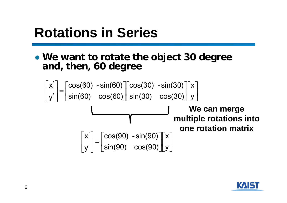## **Rotations in Series**

● **We want to rotate the object 30 degree and, then, 60 degree**

$$
\begin{bmatrix} x' \\ y' \end{bmatrix} = \begin{bmatrix} \cos(60) & -\sin(60) \\ \sin(60) & \cos(60) \end{bmatrix} \begin{bmatrix} \cos(30) & -\sin(30) \\ \sin(30) & \cos(30) \end{bmatrix} \begin{bmatrix} x \\ y \end{bmatrix}
$$
\nWe can merge  
\nmultiple rotations into  
\none rotation matrix  
\n
$$
\begin{bmatrix} x' \\ y' \end{bmatrix} = \begin{bmatrix} \cos(90) & -\sin(90) \\ \sin(90) & \cos(90) \end{bmatrix} \begin{bmatrix} x \\ y \end{bmatrix}
$$

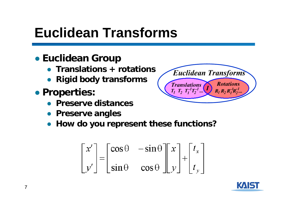## **Euclidean Transforms**

#### ● **Euclidean Group**

- **Translations + rotations**
- **Rigid body transforms**
- **Properties:** 
	- **Preserve distances**
	- **Preserve angles**
	- **How do you represent these functions?**

$$
\begin{bmatrix} x' \\ y' \end{bmatrix} = \begin{bmatrix} \cos \theta & -\sin \theta \\ \sin \theta & \cos \theta \end{bmatrix} \begin{bmatrix} x \\ y \end{bmatrix} + \begin{bmatrix} t_x \\ t_y \end{bmatrix}
$$



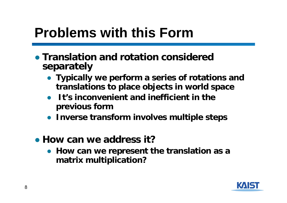## **Problems with this Form**

- **Translation and rotation considered separately**
	- **Typically we perform a series of rotations and translations to place objects in world space**
	- ● **It's inconvenient and inefficient in the previous form**
	- **Inverse transform involves multiple steps**
- **How can we address it?**
	- **How can we represent the translation as a matrix multiplication?**

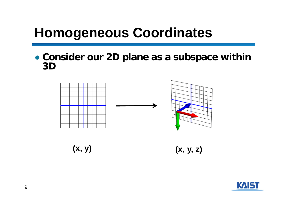## **Homogeneous Coordinates**

● **Consider our 2D plane as a subspace within 3D**



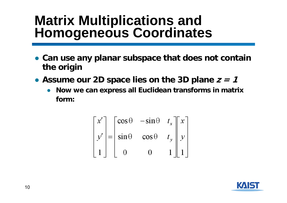# **Matrix Multiplications and Homogeneous Coordinates**

- **Can use any planar subspace that does not contain the origin**
- Assume our 2D space lies on the 3D plane *z = 1* 
	- ● **Now we can express all Euclidean transforms in matrix form:**

$$
\begin{bmatrix} x' \\ y' \\ 1 \end{bmatrix} = \begin{bmatrix} \cos \theta & -\sin \theta & t_x \\ \sin \theta & \cos \theta & t_y \\ 0 & 0 & 1 \end{bmatrix} \begin{bmatrix} x \\ y \\ 1 \end{bmatrix}
$$

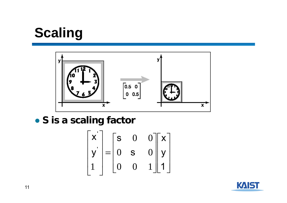# **Scaling**



● **S is a scaling factor**

$$
\begin{bmatrix} \mathbf{x} \\ \mathbf{y} \\ 1 \end{bmatrix} = \begin{bmatrix} \mathbf{s} & 0 & 0 \\ 0 & \mathbf{s} & 0 \\ 0 & 0 & 1 \end{bmatrix} \begin{bmatrix} \mathbf{x} \\ \mathbf{y} \\ \mathbf{1} \end{bmatrix}
$$

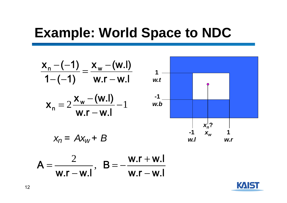#### **Example: World Space to NDC**

$$
\frac{x_{n} - (-1)}{1 - (-1)} = \frac{x_{w} - (w.l)}{w.r - w.l}
$$

$$
\mathbf{x}_{n} = 2\frac{\mathbf{x}_{w} - (\mathbf{w}.\mathbf{I})}{\mathbf{w}.\mathbf{r} - \mathbf{w}.\mathbf{I}} - 1
$$



$$
x_n = Ax_w + B
$$

$$
\mathcal{L}^{\mathcal{L}}(\mathcal{L}^{\mathcal{L}}(\mathcal{L}^{\mathcal{L}}))
$$

$$
A = \frac{2}{w.r - w.l}, \quad B = -\frac{w.r + w.l}{w.r - w.l}
$$

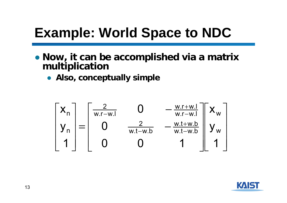# **Example: World Space to NDC**

- **Now, it can be accomplished via a matrix multiplication**
	- **Also, conceptually simple**

$$
\begin{bmatrix} x_{n} \\ y_{n} \\ 1 \end{bmatrix} = \begin{bmatrix} \frac{2}{w.r-w.l} & 0 & -\frac{w.r+w.l}{w.r-w.l} \\ 0 & \frac{2}{w.t-w.b} & -\frac{w.t+w.b}{w.t-w.b} \\ 0 & 0 & 1 \end{bmatrix} \begin{bmatrix} x_{w} \\ y_{w} \\ 1 \end{bmatrix}
$$

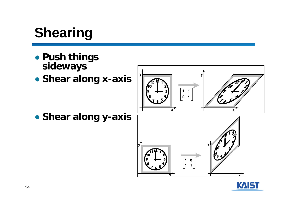# **Shearing**

- **Push things sideways**
- **Shear along x-axis**



 $\begin{bmatrix} 1 & 0 \\ 1 & 1 \end{bmatrix}$ 

● **Shear along y-axis**



 $\overline{\mathbf{x}}$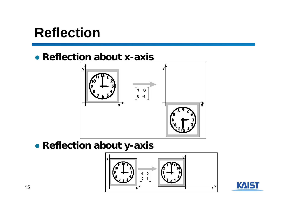### **Reflection**

#### ● **Reflection about x-axis**



#### ● **Reflection about y-axis**



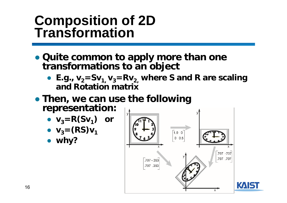# **Composition of 2D Transformation**

- **Quite common to apply more than one transformations to an object**
	- E.g.,  $v_2 = Sv_1$ ,  $v_3 = Rv_2$ , where S and R are scaling **and Rotation matrix**
- **Then, we can use the following representation:**
	- $\bullet$  **v**<sub>3</sub>=**R(Sv**<sub>1</sub>) or
	- $v_3 = (RS)v_1$
	- **why?**



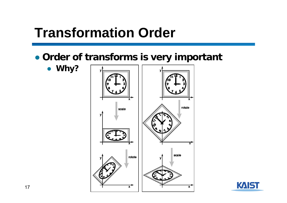## **Transformation Order**

● **Order of transforms is very important**

● **Why?**



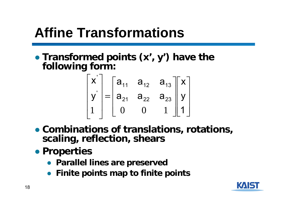# **Affine Transformations**

● **Transformed points (x', y') have the following form:**

$$
\begin{bmatrix} x' \\ y' \\ 1 \end{bmatrix} = \begin{bmatrix} a_{11} & a_{12} & a_{13} \\ a_{21} & a_{22} & a_{23} \\ 0 & 0 & 1 \end{bmatrix} \begin{bmatrix} x \\ y \\ 1 \end{bmatrix}
$$

- **Combinations of translations, rotations, scaling, reflection, shears**
- **Properties**
	- **Parallel lines are preserved**
	- **Finite points map to finite points**

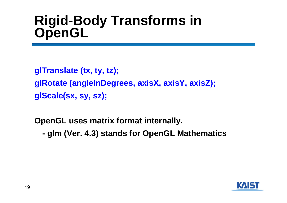# **Rigid-Body Transforms in OpenGL**

**glTranslate (tx, ty, tz); glRotate (angleInDegrees, axisX, axisY, axisZ); glScale(sx, sy, sz);**

**OpenGL uses matrix format internally.**

 **glm (Ver. 4.3) stands for OpenGL Mathematics**

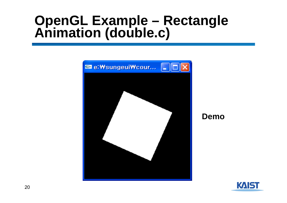# **OpenGL Example – Rectangle Animation (double.c)**



**Demo**

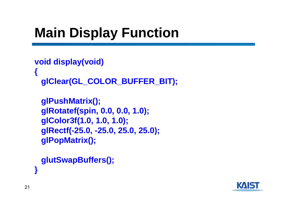# **Main Display Function**

```
void display(void)
{
 glClear(GL_COLOR_BUFFER_BIT);
```

```
glPushMatrix();
glRotatef(spin, 0.0, 0.0, 1.0);
glColor3f(1.0, 1.0, 1.0);
glRectf(-25.0, -25.0, 25.0, 25.0);
glPopMatrix();
```

```
glutSwapBuffers();
```


**}**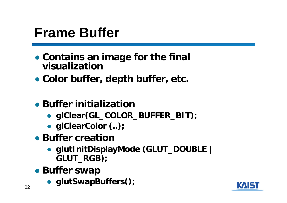#### **Frame Buffer**

- **Contains an image for the final visualization**
- **Color buffer, depth buffer, etc.**
- **Buffer initialization**
	- **glClear(GL\_COLOR\_BUFFER\_BIT);**
	- **glClearColor (..);**
- **Buffer creation**
	- **glutInitDisplayMode (GLUT\_DOUBLE | GLUT\_RGB);**
- **Buffer swap**
	- **glutSwapBuffers();**

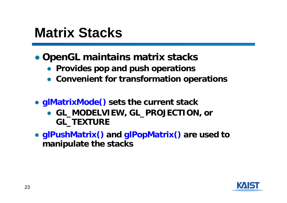#### **Matrix Stacks**

#### ● **OpenGL maintains matrix stacks**

- **Provides pop and push operations**
- **Convenient for transformation operations**
- **glMatrixMode() sets the current stack**
	- **GL\_MODELVIEW, GL\_PROJECTION, or GL\_TEXTURE**
- **glPushMatrix() and glPopMatrix() are used to manipulate the stacks**

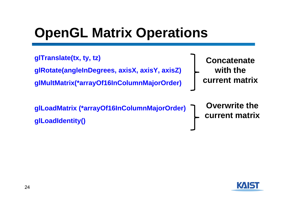## **OpenGL Matrix Operations**

**glTranslate(tx, ty, tz) glRotate(angleInDegrees, axisX, axisY, axisZ) glMultMatrix(\*arrayOf16InColumnMajorOrder)**

**glLoadMatrix (\*arrayOf16InColumnMajorOrder) glLoadIdentity()**

**Concatenate with the current matrix**

**Overwrite the current matrix**

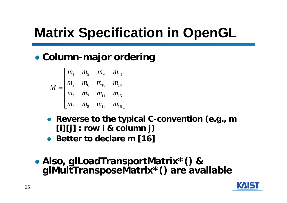# **Matrix Specification in OpenGL**

#### ● **Column-major ordering**

$$
M = \begin{bmatrix} m_1 & m_5 & m_9 & m_{13} \\ m_2 & m_6 & m_{10} & m_{14} \\ m_3 & m_7 & m_{11} & m_{15} \\ m_4 & m_8 & m_{12} & m_{16} \end{bmatrix}
$$

- **Reverse to the typical C-convention (e.g., m [i][j] : row i & column j)**
- **Better to declare m [16]**
- Also, glLoadTransportMatrix\*() & **Also, glLoadTransportMatrix\*() & glMultTransposeMatrix\*() are available**

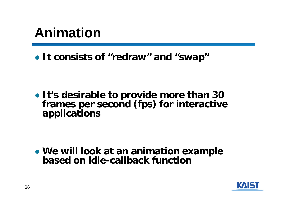### **Animation**

● **It consists of "redraw" and "swap"**

● **It's desirable to provide more than 30 frames per second (fps) for interactive applications**

● **We will look at an animation example based on idle-callback function**

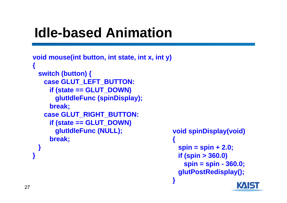## **Idle-based Animation**

```
void mouse(int button, int state, int x, int y) 
{
 switch (button) {
   case GLUT_LEFT_BUTTON:
    if (state == GLUT_DOWN)
      glutIdleFunc (spinDisplay);
    break;
   case GLUT_RIGHT_BUTTON:
    if (state == GLUT_DOWN)
      glutIdleFunc (NULL);
    break;
 }
}
                                          {
```

```
void spinDisplay(void)
 spin = spin + 2.0;
 if (spin > 360.0)
   spin = spin - 360.0;
 glutPostRedisplay();
}
```
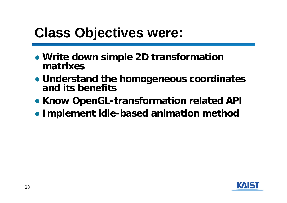## **Class Objectives were:**

- **Write down simple 2D transformation matrixes**
- **Understand the homogeneous coordinates and its benefits**
- **Know OpenGL-transformation related API**
- **Implement idle-based animation method**

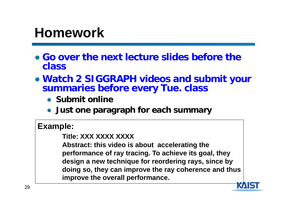#### **Homework**

- **Go over the next lecture slides before the class**
- **Watch 2 SIGGRAPH videos and submit your summaries before every Tue. class**
	- **Submit online**
	- **Just one paragraph for each summary**

#### **Example:**

#### **Title: XXX XXXX XXXX**

**Abstract: this video is about accelerating the performance of ray tracing. To achieve its goal, they design a new technique for reordering rays, since by doing so, they can improve the ray coherence and thus improve the overall performance.**

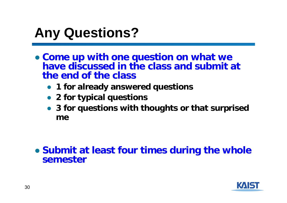## **Any Questions?**

- **Come up with one question on what we have discussed in the class and submit at the end of the class**
	- **1 for already answered questions**
	- **2 for typical questions**
	- **3 for questions with thoughts or that surprised me**

#### ● **Submit at least four times during the whole semester**